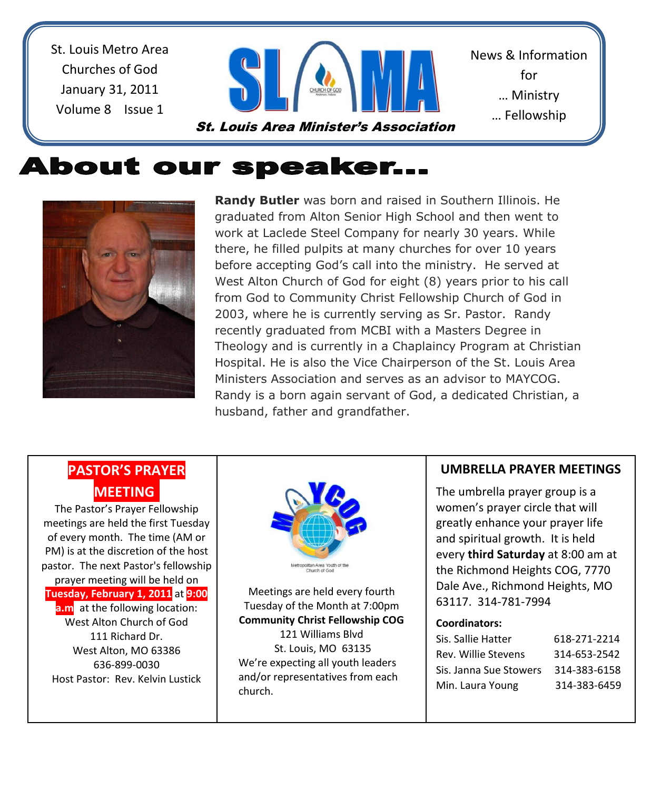St. Louis Metro Area Churches of God January 31, 2011 Volume 8 Issue 1



News & Information for … Ministry … Fellowship

… Sharing

# **About our speaker...**



**Randy Butler** was born and raised in Southern Illinois. He graduated from Alton Senior High School and then went to work at Laclede Steel Company for nearly 30 years. While there, he filled pulpits at many churches for over 10 years before accepting God's call into the ministry. He served at West Alton Church of God for eight (8) years prior to his call from God to Community Christ Fellowship Church of God in 2003, where he is currently serving as Sr. Pastor. Randy recently graduated from MCBI with a Masters Degree in Theology and is currently in a Chaplaincy Program at Christian Hospital. He is also the Vice Chairperson of the St. Louis Area Ministers Association and serves as an advisor to MAYCOG. Randy is a born again servant of God, a dedicated Christian, a husband, father and grandfather.

## **PASTOR'S PRAYER MEETING.**

 $\overline{a}$ 

The Pastor's Prayer Fellowship meetings are held the first Tuesday of every month. The time (AM or PM) is at the discretion of the host pastor. The next Pastor's fellowship prayer meeting will be held on **Tuesday, February 1, 2011** at **9:00 a.m** at the following location: West Alton Church of God 111 Richard Dr. West Alton, MO 63386 636-899-0030 Host Pastor: Rev. Kelvin Lustick



Meetings are held every fourth Tuesday of the Month at 7:00pm **Community Christ Fellowship COG**  121 Williams Blvd St. Louis, MO 63135 We're expecting all youth leaders and/or representatives from each church.

#### **UMBRELLA PRAYER MEETINGS**

The umbrella prayer group is a women's prayer circle that will greatly enhance your prayer life and spiritual growth. It is held every **third Saturday** at 8:00 am at the Richmond Heights COG, 7770 Dale Ave., Richmond Heights, MO 63117. 314-781-7994

#### **Coordinators:**

| Sis. Sallie Hatter     | 618-271-2214 |
|------------------------|--------------|
| Rev. Willie Stevens    | 314-653-2542 |
| Sis. Janna Sue Stowers | 314-383-6158 |
| Min. Laura Young       | 314-383-6459 |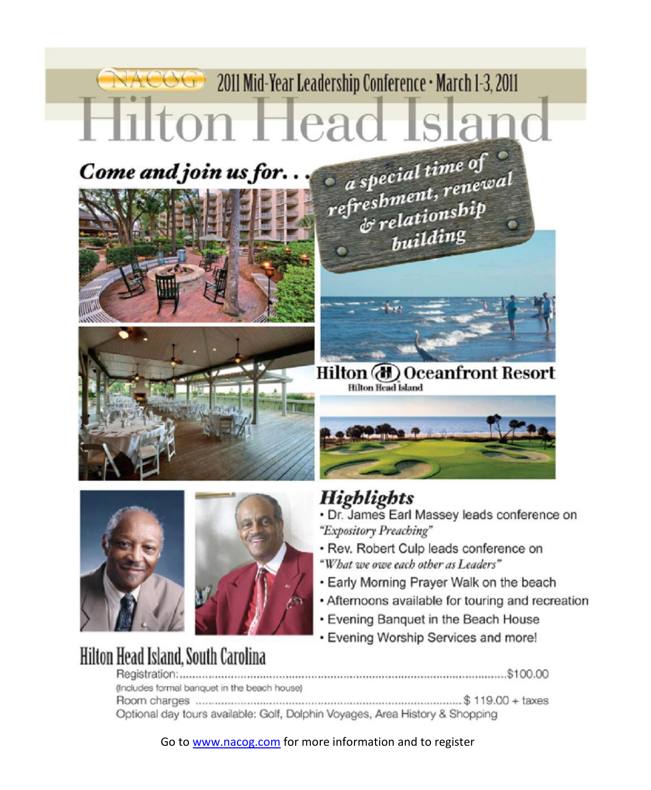# NACOG 2011 Mid-Year Leadership Conference • March 1-3, 2011 Hilton Head Island  $\bullet$  a special time of  $\bullet$ <br>refreshment, renewal<br> $\bullet$  relationship





**Hilton Head Island, South Carolina** 

Hilton (d) Oceanfront Resort **Hilton Head Island** 

building



# **Highlights**

- · Dr. James Earl Massey leads conference on "Expository Preaching"
- · Rev. Robert Culp leads conference on "What we owe each other as Leaders"
- Early Morning Prayer Walk on the beach
- Afternoons available for touring and recreation
- Evening Banquet in the Beach House
- Evening Worship Services and more!

| (Includes formal banquet in the beach house)                                 |  |
|------------------------------------------------------------------------------|--|
|                                                                              |  |
| Optional day tours available: Golf, Dolphin Voyages, Area History & Shopping |  |

Go to www.nacog.com for more information and to register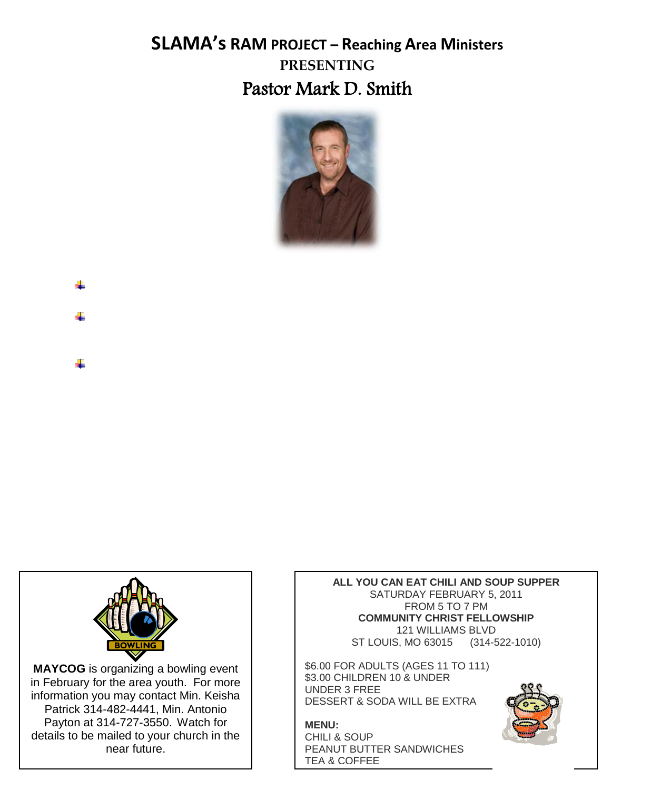# **SLAMA's RAM PROJECT – Reaching Area Ministers PRESENTING** Pastor Mark D. Smith



- 4
- 

**MAYCOG** is organizing a bowling event in February for the area youth. For more information you may contact Min. Keisha Patrick 314-482-4441, Min. Antonio Payton at 314-727-3550. Watch for details to be mailed to your church in the near future.

**ALL YOU CAN EAT CHILI AND SOUP SUPPER** SATURDAY FEBRUARY 5, 2011 FROM 5 TO 7 PM **COMMUNITY CHRIST FELLOWSHIP** 121 WILLIAMS BLVD ST LOUIS, MO 63015 (314-522-1010)

\$6.00 FOR ADULTS (AGES 11 TO 111) \$3.00 CHILDREN 10 & UNDER UNDER 3 FREE DESSERT & SODA WILL BE EXTRA

**MENU:** CHILI & SOUP PEANUT BUTTER SANDWICHES TEA & COFFEE